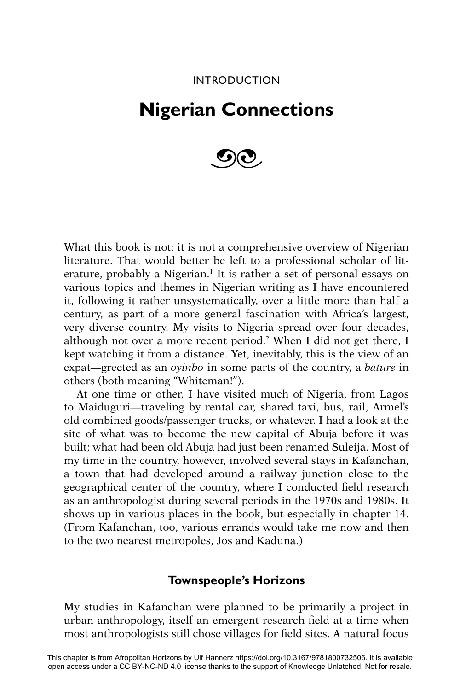## INTRODUCTION

# **Nigerian Connections**



What this book is not: it is not a comprehensive overview of Nigerian literature. That would better be left to a professional scholar of literature, probably a Nigerian.<sup>1</sup> It is rather a set of personal essays on various topics and themes in Nigerian writing as I have encountered it, following it rather unsystematically, over a little more than half a century, as part of a more general fascination with Africa's largest, very diverse country. My visits to Nigeria spread over four decades, although not over a more recent period.<sup>2</sup> When I did not get there, I kept watching it from a distance. Yet, inevitably, this is the view of an expat—greeted as an *oyinbo* in some parts of the country, a *bature* in others (both meaning "Whiteman!").

At one time or other, I have visited much of Nigeria, from Lagos to Maiduguri—traveling by rental car, shared taxi, bus, rail, Armel's old combined goods/passenger trucks, or whatever. I had a look at the site of what was to become the new capital of Abuja before it was built; what had been old Abuja had just been renamed Suleija. Most of my time in the country, however, involved several stays in Kafanchan, a town that had developed around a railway junction close to the geographical center of the country, where I conducted field research as an anthropologist during several periods in the 1970s and 1980s. It shows up in various places in the book, but especially in chapter 14. (From Kafanchan, too, various errands would take me now and then to the two nearest metropoles, Jos and Kaduna.)

# **Townspeople's Horizons**

My studies in Kafanchan were planned to be primarily a project in urban anthropology, itself an emergent research field at a time when most anthropologists still chose villages for field sites. A natural focus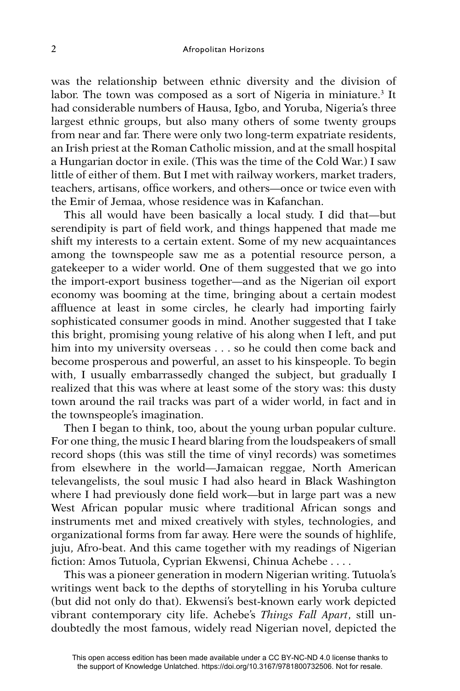was the relationship between ethnic diversity and the division of labor. The town was composed as a sort of Nigeria in miniature.<sup>3</sup> It had considerable numbers of Hausa, Igbo, and Yoruba, Nigeria's three largest ethnic groups, but also many others of some twenty groups from near and far. There were only two long-term expatriate residents, an Irish priest at the Roman Catholic mission, and at the small hospital a Hungarian doctor in exile. (This was the time of the Cold War.) I saw little of either of them. But I met with railway workers, market traders, teachers, artisans, office workers, and others—once or twice even with the Emir of Jemaa, whose residence was in Kafanchan.

This all would have been basically a local study. I did that—but serendipity is part of field work, and things happened that made me shift my interests to a certain extent. Some of my new acquaintances among the townspeople saw me as a potential resource person, a gatekeeper to a wider world. One of them suggested that we go into the import-export business together—and as the Nigerian oil export economy was booming at the time, bringing about a certain modest affluence at least in some circles, he clearly had importing fairly sophisticated consumer goods in mind. Another suggested that I take this bright, promising young relative of his along when I left, and put him into my university overseas . . . so he could then come back and become prosperous and powerful, an asset to his kinspeople. To begin with, I usually embarrassedly changed the subject, but gradually I realized that this was where at least some of the story was: this dusty town around the rail tracks was part of a wider world, in fact and in the townspeople's imagination.

Then I began to think, too, about the young urban popular culture. For one thing, the music I heard blaring from the loudspeakers of small record shops (this was still the time of vinyl records) was sometimes from elsewhere in the world—Jamaican reggae, North American televangelists, the soul music I had also heard in Black Washington where I had previously done field work—but in large part was a new West African popular music where traditional African songs and instruments met and mixed creatively with styles, technologies, and organizational forms from far away. Here were the sounds of highlife, juju, Afro-beat. And this came together with my readings of Nigerian fiction: Amos Tutuola, Cyprian Ekwensi, Chinua Achebe . . . .

This was a pioneer generation in modern Nigerian writing. Tutuola's writings went back to the depths of storytelling in his Yoruba culture (but did not only do that). Ekwensi's best-known early work depicted vibrant contemporary city life. Achebe's *Things Fall Apart*, still undoubtedly the most famous, widely read Nigerian novel, depicted the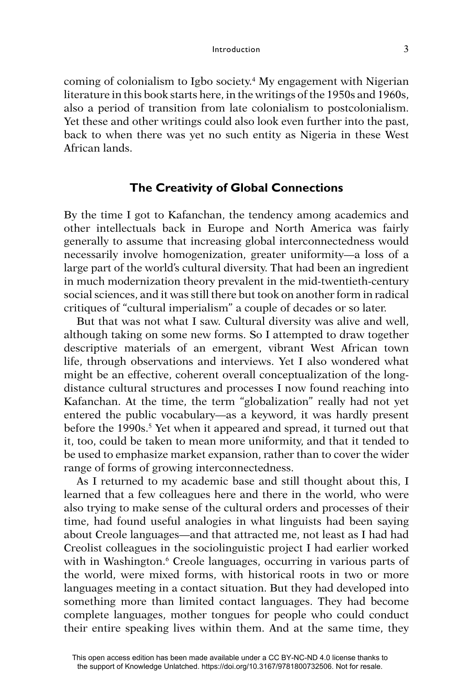coming of colonialism to Igbo society.4 My engagement with Nigerian literature in this book starts here, in the writings of the 1950s and 1960s, also a period of transition from late colonialism to postcolonialism. Yet these and other writings could also look even further into the past, back to when there was yet no such entity as Nigeria in these West African lands.

### **The Creativity of Global Connections**

By the time I got to Kafanchan, the tendency among academics and other intellectuals back in Europe and North America was fairly generally to assume that increasing global interconnectedness would necessarily involve homogenization, greater uniformity—a loss of a large part of the world's cultural diversity. That had been an ingredient in much modernization theory prevalent in the mid-twentieth-century social sciences, and it was still there but took on another form in radical critiques of "cultural imperialism" a couple of decades or so later.

But that was not what I saw. Cultural diversity was alive and well, although taking on some new forms. So I attempted to draw together descriptive materials of an emergent, vibrant West African town life, through observations and interviews. Yet I also wondered what might be an effective, coherent overall conceptualization of the longdistance cultural structures and processes I now found reaching into Kafanchan. At the time, the term "globalization" really had not yet entered the public vocabulary—as a keyword, it was hardly present before the 1990s.<sup>5</sup> Yet when it appeared and spread, it turned out that it, too, could be taken to mean more uniformity, and that it tended to be used to emphasize market expansion, rather than to cover the wider range of forms of growing interconnectedness.

As I returned to my academic base and still thought about this, I learned that a few colleagues here and there in the world, who were also trying to make sense of the cultural orders and processes of their time, had found useful analogies in what linguists had been saying about Creole languages—and that attracted me, not least as I had had Creolist colleagues in the sociolinguistic project I had earlier worked with in Washington.<sup>6</sup> Creole languages, occurring in various parts of the world, were mixed forms, with historical roots in two or more languages meeting in a contact situation. But they had developed into something more than limited contact languages. They had become complete languages, mother tongues for people who could conduct their entire speaking lives within them. And at the same time, they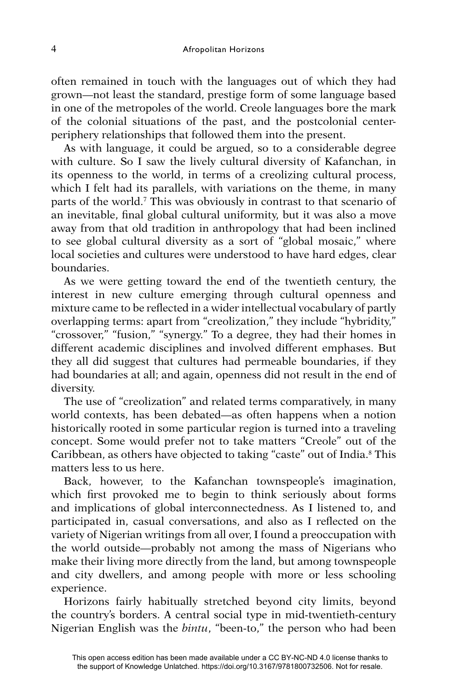often remained in touch with the languages out of which they had grown—not least the standard, prestige form of some language based in one of the metropoles of the world. Creole languages bore the mark of the colonial situations of the past, and the postcolonial centerperiphery relationships that followed them into the present.

As with language, it could be argued, so to a considerable degree with culture. So I saw the lively cultural diversity of Kafanchan, in its openness to the world, in terms of a creolizing cultural process, which I felt had its parallels, with variations on the theme, in many parts of the world.<sup>7</sup> This was obviously in contrast to that scenario of an inevitable, final global cultural uniformity, but it was also a move away from that old tradition in anthropology that had been inclined to see global cultural diversity as a sort of "global mosaic," where local societies and cultures were understood to have hard edges, clear boundaries.

As we were getting toward the end of the twentieth century, the interest in new culture emerging through cultural openness and mixture came to be reflected in a wider intellectual vocabulary of partly overlapping terms: apart from "creolization," they include "hybridity," "crossover," "fusion," "synergy." To a degree, they had their homes in different academic disciplines and involved different emphases. But they all did suggest that cultures had permeable boundaries, if they had boundaries at all; and again, openness did not result in the end of diversity.

The use of "creolization" and related terms comparatively, in many world contexts, has been debated—as often happens when a notion historically rooted in some particular region is turned into a traveling concept. Some would prefer not to take matters "Creole" out of the Caribbean, as others have objected to taking "caste" out of India.<sup>8</sup> This matters less to us here.

Back, however, to the Kafanchan townspeople's imagination, which first provoked me to begin to think seriously about forms and implications of global interconnectedness. As I listened to, and participated in, casual conversations, and also as I reflected on the variety of Nigerian writings from all over, I found a preoccupation with the world outside—probably not among the mass of Nigerians who make their living more directly from the land, but among townspeople and city dwellers, and among people with more or less schooling experience.

Horizons fairly habitually stretched beyond city limits, beyond the country's borders. A central social type in mid-twentieth-century Nigerian English was the *bintu*, "been-to," the person who had been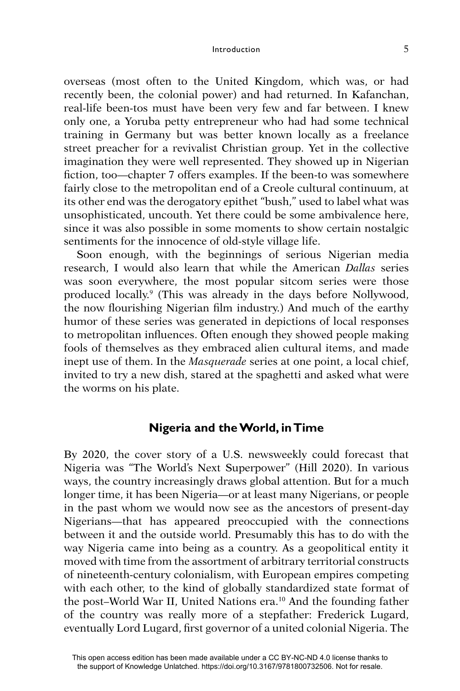### Introduction 5

overseas (most often to the United Kingdom, which was, or had recently been, the colonial power) and had returned. In Kafanchan, real-life been-tos must have been very few and far between. I knew only one, a Yoruba petty entrepreneur who had had some technical training in Germany but was better known locally as a freelance street preacher for a revivalist Christian group. Yet in the collective imagination they were well represented. They showed up in Nigerian fiction, too—chapter 7 offers examples. If the been-to was somewhere fairly close to the metropolitan end of a Creole cultural continuum, at its other end was the derogatory epithet "bush," used to label what was unsophisticated, uncouth. Yet there could be some ambivalence here, since it was also possible in some moments to show certain nostalgic sentiments for the innocence of old-style village life.

Soon enough, with the beginnings of serious Nigerian media research, I would also learn that while the American *Dallas* series was soon everywhere, the most popular sitcom series were those produced locally.9 (This was already in the days before Nollywood, the now flourishing Nigerian film industry.) And much of the earthy humor of these series was generated in depictions of local responses to metropolitan influences. Often enough they showed people making fools of themselves as they embraced alien cultural items, and made inept use of them. In the *Masquerade* series at one point, a local chief, invited to try a new dish, stared at the spaghetti and asked what were the worms on his plate.

# **Nigeria and the World, in Time**

By 2020, the cover story of a U.S. newsweekly could forecast that Nigeria was "The World's Next Superpower" (Hill 2020). In various ways, the country increasingly draws global attention. But for a much longer time, it has been Nigeria—or at least many Nigerians, or people in the past whom we would now see as the ancestors of present-day Nigerians—that has appeared preoccupied with the connections between it and the outside world. Presumably this has to do with the way Nigeria came into being as a country. As a geopolitical entity it moved with time from the assortment of arbitrary territorial constructs of nineteenth-century colonialism, with European empires competing with each other, to the kind of globally standardized state format of the post–World War II, United Nations era.10 And the founding father of the country was really more of a stepfather: Frederick Lugard, eventually Lord Lugard, first governor of a united colonial Nigeria. The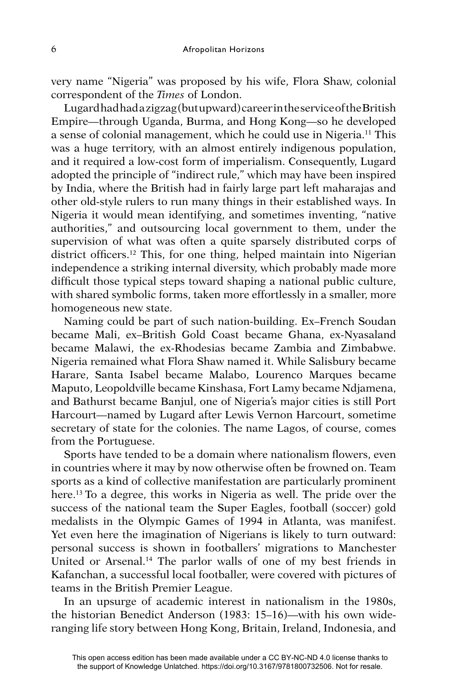very name "Nigeria" was proposed by his wife, Flora Shaw, colonial correspondent of the *Times* of London.

Lugard had had a zigzag (but upward) career in the service of the British Empire—through Uganda, Burma, and Hong Kong—so he developed a sense of colonial management, which he could use in Nigeria.11 This was a huge territory, with an almost entirely indigenous population, and it required a low-cost form of imperialism. Consequently, Lugard adopted the principle of "indirect rule," which may have been inspired by India, where the British had in fairly large part left maharajas and other old-style rulers to run many things in their established ways. In Nigeria it would mean identifying, and sometimes inventing, "native authorities," and outsourcing local government to them, under the supervision of what was often a quite sparsely distributed corps of district officers.<sup>12</sup> This, for one thing, helped maintain into Nigerian independence a striking internal diversity, which probably made more difficult those typical steps toward shaping a national public culture, with shared symbolic forms, taken more effortlessly in a smaller, more homogeneous new state.

Naming could be part of such nation-building. Ex–French Soudan became Mali, ex–British Gold Coast became Ghana, ex-Nyasaland became Malawi, the ex-Rhodesias became Zambia and Zimbabwe. Nigeria remained what Flora Shaw named it. While Salisbury became Harare, Santa Isabel became Malabo, Lourenco Marques became Maputo, Leopoldville became Kinshasa, Fort Lamy became Ndjamena, and Bathurst became Banjul, one of Nigeria's major cities is still Port Harcourt—named by Lugard after Lewis Vernon Harcourt, sometime secretary of state for the colonies. The name Lagos, of course, comes from the Portuguese.

Sports have tended to be a domain where nationalism flowers, even in countries where it may by now otherwise often be frowned on. Team sports as a kind of collective manifestation are particularly prominent here.13 To a degree, this works in Nigeria as well. The pride over the success of the national team the Super Eagles, football (soccer) gold medalists in the Olympic Games of 1994 in Atlanta, was manifest. Yet even here the imagination of Nigerians is likely to turn outward: personal success is shown in footballers' migrations to Manchester United or Arsenal.14 The parlor walls of one of my best friends in Kafanchan, a successful local footballer, were covered with pictures of teams in the British Premier League.

In an upsurge of academic interest in nationalism in the 1980s, the historian Benedict Anderson (1983: 15–16)—with his own wideranging life story between Hong Kong, Britain, Ireland, Indonesia, and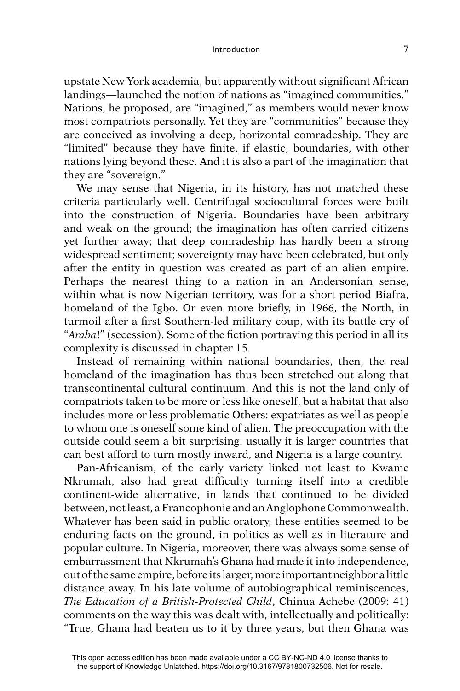### $\blacksquare$  Introduction  $\blacksquare$   $\blacksquare$   $\blacksquare$   $\blacksquare$   $\blacksquare$   $\blacksquare$   $\blacksquare$   $\blacksquare$   $\blacksquare$   $\blacksquare$   $\blacksquare$   $\blacksquare$   $\blacksquare$   $\blacksquare$   $\blacksquare$   $\blacksquare$   $\blacksquare$   $\blacksquare$   $\blacksquare$   $\blacksquare$   $\blacksquare$   $\blacksquare$   $\blacksquare$   $\blacksquare$   $\blacksquare$   $\blacksquare$   $\blacksquare$   $\blacksquare$   $\blacksquare$

upstate New York academia, but apparently without significant African landings—launched the notion of nations as "imagined communities." Nations, he proposed, are "imagined," as members would never know most compatriots personally. Yet they are "communities" because they are conceived as involving a deep, horizontal comradeship. They are "limited" because they have finite, if elastic, boundaries, with other nations lying beyond these. And it is also a part of the imagination that they are "sovereign."

We may sense that Nigeria, in its history, has not matched these criteria particularly well. Centrifugal sociocultural forces were built into the construction of Nigeria. Boundaries have been arbitrary and weak on the ground; the imagination has often carried citizens yet further away; that deep comradeship has hardly been a strong widespread sentiment; sovereignty may have been celebrated, but only after the entity in question was created as part of an alien empire. Perhaps the nearest thing to a nation in an Andersonian sense, within what is now Nigerian territory, was for a short period Biafra, homeland of the Igbo. Or even more briefly, in 1966, the North, in turmoil after a first Southern-led military coup, with its battle cry of "*Araba!"* (secession). Some of the fiction portraying this period in all its complexity is discussed in chapter 15.

Instead of remaining within national boundaries, then, the real homeland of the imagination has thus been stretched out along that transcontinental cultural continuum. And this is not the land only of compatriots taken to be more or less like oneself, but a habitat that also includes more or less problematic Others: expatriates as well as people to whom one is oneself some kind of alien. The preoccupation with the outside could seem a bit surprising: usually it is larger countries that can best afford to turn mostly inward, and Nigeria is a large country.

Pan-Africanism, of the early variety linked not least to Kwame Nkrumah, also had great difficulty turning itself into a credible continent-wide alternative, in lands that continued to be divided between, not least, a Francophonie and an Anglophone Commonwealth. Whatever has been said in public oratory, these entities seemed to be enduring facts on the ground, in politics as well as in literature and popular culture. In Nigeria, moreover, there was always some sense of embarrassment that Nkrumah's Ghana had made it into independence, out of the same empire, before its larger, more important neighbor a little distance away. In his late volume of autobiographical reminiscences, *The Education of a British-Protected Child*, Chinua Achebe (2009: 41) comments on the way this was dealt with, intellectually and politically: "True, Ghana had beaten us to it by three years, but then Ghana was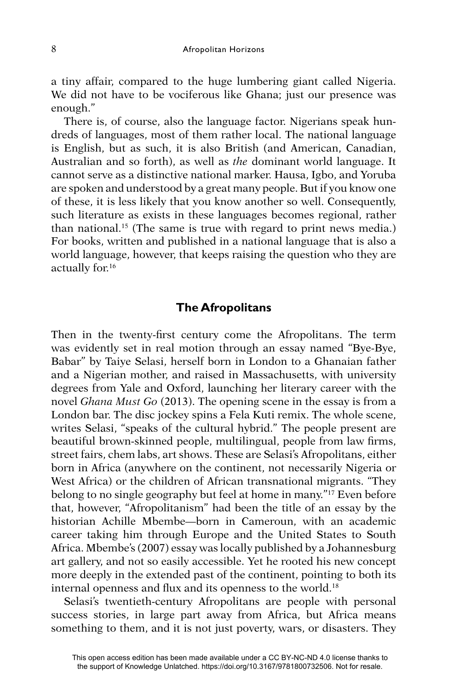a tiny affair, compared to the huge lumbering giant called Nigeria. We did not have to be vociferous like Ghana; just our presence was enough."

There is, of course, also the language factor. Nigerians speak hundreds of languages, most of them rather local. The national language is English, but as such, it is also British (and American, Canadian, Australian and so forth), as well as *the* dominant world language. It cannot serve as a distinctive national marker. Hausa, Igbo, and Yoruba are spoken and understood by a great many people. But if you know one of these, it is less likely that you know another so well. Consequently, such literature as exists in these languages becomes regional, rather than national.15 (The same is true with regard to print news media.) For books, written and published in a national language that is also a world language, however, that keeps raising the question who they are actually for.16

# **The Afropolitans**

Then in the twenty-first century come the Afropolitans. The term was evidently set in real motion through an essay named "Bye-Bye, Babar" by Taiye Selasi, herself born in London to a Ghanaian father and a Nigerian mother, and raised in Massachusetts, with university degrees from Yale and Oxford, launching her literary career with the novel *Ghana Must Go* (2013). The opening scene in the essay is from a London bar. The disc jockey spins a Fela Kuti remix. The whole scene, writes Selasi, "speaks of the cultural hybrid." The people present are beautiful brown-skinned people, multilingual, people from law firms, street fairs, chem labs, art shows. These are Selasi's Afropolitans, either born in Africa (anywhere on the continent, not necessarily Nigeria or West Africa) or the children of African transnational migrants. "They belong to no single geography but feel at home in many."17 Even before that, however, "Afropolitanism" had been the title of an essay by the historian Achille Mbembe—born in Cameroun, with an academic career taking him through Europe and the United States to South Africa. Mbembe's (2007) essay was locally published by a Johannesburg art gallery, and not so easily accessible. Yet he rooted his new concept more deeply in the extended past of the continent, pointing to both its internal openness and flux and its openness to the world.<sup>18</sup>

Selasi's twentieth-century Afropolitans are people with personal success stories, in large part away from Africa, but Africa means something to them, and it is not just poverty, wars, or disasters. They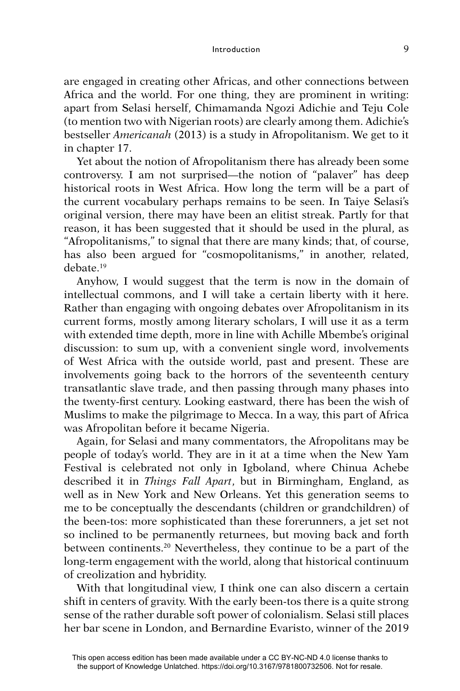#### Introduction 9

are engaged in creating other Africas, and other connections between Africa and the world. For one thing, they are prominent in writing: apart from Selasi herself, Chimamanda Ngozi Adichie and Teju Cole (to mention two with Nigerian roots) are clearly among them. Adichie's bestseller *Americanah* (2013) is a study in Afropolitanism. We get to it in chapter 17.

Yet about the notion of Afropolitanism there has already been some controversy. I am not surprised—the notion of "palaver" has deep historical roots in West Africa. How long the term will be a part of the current vocabulary perhaps remains to be seen. In Taiye Selasi's original version, there may have been an elitist streak. Partly for that reason, it has been suggested that it should be used in the plural, as "Afropolitanisms," to signal that there are many kinds; that, of course, has also been argued for "cosmopolitanisms," in another, related, debate.19

Anyhow, I would suggest that the term is now in the domain of intellectual commons, and I will take a certain liberty with it here. Rather than engaging with ongoing debates over Afropolitanism in its current forms, mostly among literary scholars, I will use it as a term with extended time depth, more in line with Achille Mbembe's original discussion: to sum up, with a convenient single word, involvements of West Africa with the outside world, past and present. These are involvements going back to the horrors of the seventeenth century transatlantic slave trade, and then passing through many phases into the twenty-first century. Looking eastward, there has been the wish of Muslims to make the pilgrimage to Mecca. In a way, this part of Africa was Afropolitan before it became Nigeria.

Again, for Selasi and many commentators, the Afropolitans may be people of today's world. They are in it at a time when the New Yam Festival is celebrated not only in Igboland, where Chinua Achebe described it in *Things Fall Apart*, but in Birmingham, England, as well as in New York and New Orleans. Yet this generation seems to me to be conceptually the descendants (children or grandchildren) of the been-tos: more sophisticated than these forerunners, a jet set not so inclined to be permanently returnees, but moving back and forth between continents.20 Nevertheless, they continue to be a part of the long-term engagement with the world, along that historical continuum of creolization and hybridity.

With that longitudinal view, I think one can also discern a certain shift in centers of gravity. With the early been-tos there is a quite strong sense of the rather durable soft power of colonialism. Selasi still places her bar scene in London, and Bernardine Evaristo, winner of the 2019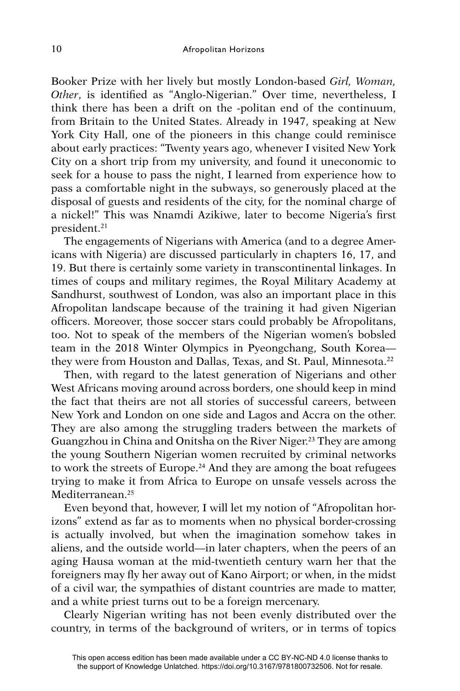Booker Prize with her lively but mostly London-based *Girl, Woman,*  Other, is identified as "Anglo-Nigerian." Over time, nevertheless, I think there has been a drift on the -politan end of the continuum, from Britain to the United States. Already in 1947, speaking at New York City Hall, one of the pioneers in this change could reminisce about early practices: "Twenty years ago, whenever I visited New York City on a short trip from my university, and found it uneconomic to seek for a house to pass the night, I learned from experience how to pass a comfortable night in the subways, so generously placed at the disposal of guests and residents of the city, for the nominal charge of a nickel!" This was Nnamdi Azikiwe, later to become Nigeria's first president.21

The engagements of Nigerians with America (and to a degree Americans with Nigeria) are discussed particularly in chapters 16, 17, and 19. But there is certainly some variety in transcontinental linkages. In times of coups and military regimes, the Royal Military Academy at Sandhurst, southwest of London, was also an important place in this Afropolitan landscape because of the training it had given Nigerian officers. Moreover, those soccer stars could probably be Afropolitans, too. Not to speak of the members of the Nigerian women's bobsled team in the 2018 Winter Olympics in Pyeongchang, South Korea they were from Houston and Dallas, Texas, and St. Paul, Minnesota.<sup>22</sup>

Then, with regard to the latest generation of Nigerians and other West Africans moving around across borders, one should keep in mind the fact that theirs are not all stories of successful careers, between New York and London on one side and Lagos and Accra on the other. They are also among the struggling traders between the markets of Guangzhou in China and Onitsha on the River Niger.<sup>23</sup> They are among the young Southern Nigerian women recruited by criminal networks to work the streets of Europe.<sup>24</sup> And they are among the boat refugees trying to make it from Africa to Europe on unsafe vessels across the Mediterranean.25

Even beyond that, however, I will let my notion of "Afropolitan horizons" extend as far as to moments when no physical border-crossing is actually involved, but when the imagination somehow takes in aliens, and the outside world—in later chapters, when the peers of an aging Hausa woman at the mid-twentieth century warn her that the foreigners may fly her away out of Kano Airport; or when, in the midst of a civil war, the sympathies of distant countries are made to matter, and a white priest turns out to be a foreign mercenary.

Clearly Nigerian writing has not been evenly distributed over the country, in terms of the background of writers, or in terms of topics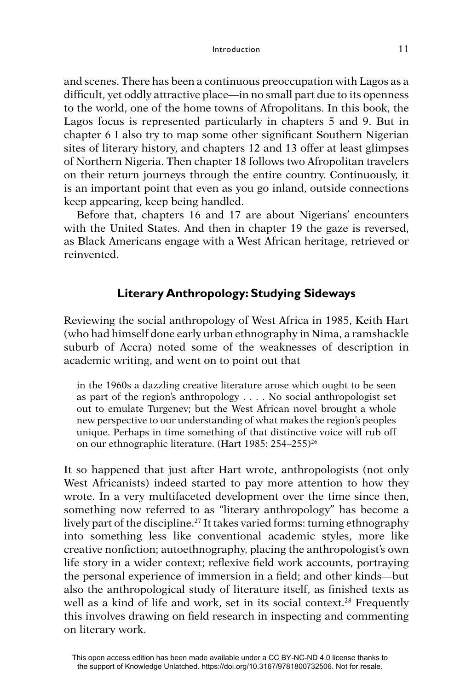and scenes. There has been a continuous preoccupation with Lagos as a difficult, yet oddly attractive place—in no small part due to its openness to the world, one of the home towns of Afropolitans. In this book, the Lagos focus is represented particularly in chapters 5 and 9. But in chapter 6 I also try to map some other significant Southern Nigerian sites of literary history, and chapters 12 and 13 offer at least glimpses of Northern Nigeria. Then chapter 18 follows two Afropolitan travelers on their return journeys through the entire country. Continuously, it is an important point that even as you go inland, outside connections keep appearing, keep being handled.

Before that, chapters 16 and 17 are about Nigerians' encounters with the United States. And then in chapter 19 the gaze is reversed, as Black Americans engage with a West African heritage, retrieved or reinvented.

# **Literary Anthropology: Studying Sideways**

Reviewing the social anthropology of West Africa in 1985, Keith Hart (who had himself done early urban ethnography in Nima, a ramshackle suburb of Accra) noted some of the weaknesses of description in academic writing, and went on to point out that

in the 1960s a dazzling creative literature arose which ought to be seen as part of the region's anthropology . . . . No social anthropologist set out to emulate Turgenev; but the West African novel brought a whole new perspective to our understanding of what makes the region's peoples unique. Perhaps in time something of that distinctive voice will rub off on our ethnographic literature. (Hart 1985: 254–255)<sup>26</sup>

It so happened that just after Hart wrote, anthropologists (not only West Africanists) indeed started to pay more attention to how they wrote. In a very multifaceted development over the time since then, something now referred to as "literary anthropology" has become a lively part of the discipline.<sup>27</sup> It takes varied forms: turning ethnography into something less like conventional academic styles, more like creative nonfiction; autoethnography, placing the anthropologist's own life story in a wider context; reflexive field work accounts, portraying the personal experience of immersion in a field; and other kinds—but also the anthropological study of literature itself, as finished texts as well as a kind of life and work, set in its social context.<sup>28</sup> Frequently this involves drawing on field research in inspecting and commenting on literary work.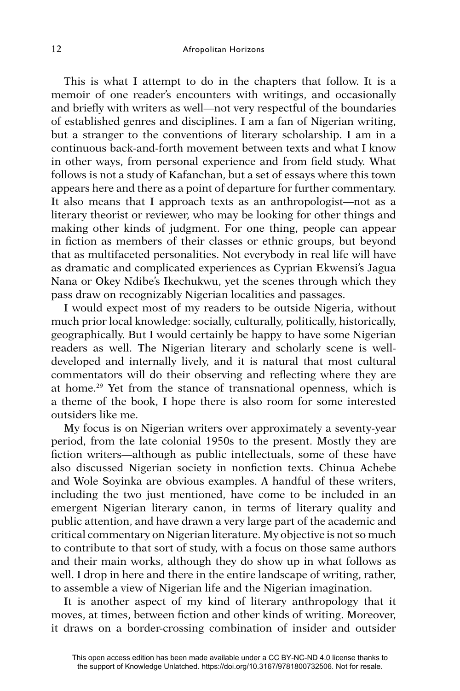This is what I attempt to do in the chapters that follow. It is a memoir of one reader's encounters with writings, and occasionally and briefly with writers as well—not very respectful of the boundaries of established genres and disciplines. I am a fan of Nigerian writing, but a stranger to the conventions of literary scholarship. I am in a continuous back-and-forth movement between texts and what I know in other ways, from personal experience and from field study. What follows is not a study of Kafanchan, but a set of essays where this town appears here and there as a point of departure for further commentary. It also means that I approach texts as an anthropologist—not as a literary theorist or reviewer, who may be looking for other things and making other kinds of judgment. For one thing, people can appear in fiction as members of their classes or ethnic groups, but beyond that as multifaceted personalities. Not everybody in real life will have as dramatic and complicated experiences as Cyprian Ekwensi's Jagua Nana or Okey Ndibe's Ikechukwu, yet the scenes through which they pass draw on recognizably Nigerian localities and passages.

I would expect most of my readers to be outside Nigeria, without much prior local knowledge: socially, culturally, politically, historically, geographically. But I would certainly be happy to have some Nigerian readers as well. The Nigerian literary and scholarly scene is welldeveloped and internally lively, and it is natural that most cultural commentators will do their observing and reflecting where they are at home.29 Yet from the stance of transnational openness, which is a theme of the book, I hope there is also room for some interested outsiders like me.

My focus is on Nigerian writers over approximately a seventy-year period, from the late colonial 1950s to the present. Mostly they are fiction writers—although as public intellectuals, some of these have also discussed Nigerian society in nonfiction texts. Chinua Achebe and Wole Soyinka are obvious examples. A handful of these writers, including the two just mentioned, have come to be included in an emergent Nigerian literary canon, in terms of literary quality and public attention, and have drawn a very large part of the academic and critical commentary on Nigerian literature. My objective is not so much to contribute to that sort of study, with a focus on those same authors and their main works, although they do show up in what follows as well. I drop in here and there in the entire landscape of writing, rather, to assemble a view of Nigerian life and the Nigerian imagination.

It is another aspect of my kind of literary anthropology that it moves, at times, between fiction and other kinds of writing. Moreover, it draws on a border-crossing combination of insider and outsider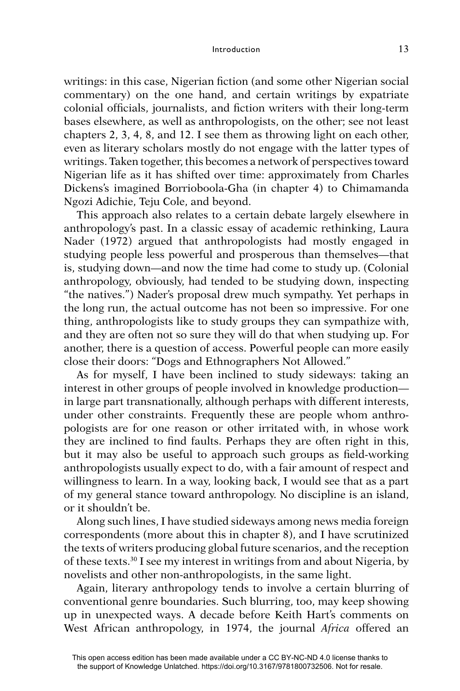### **Introduction** 13

writings: in this case, Nigerian fiction (and some other Nigerian social commentary) on the one hand, and certain writings by expatriate colonial officials, journalists, and fiction writers with their long-term bases elsewhere, as well as anthropologists, on the other; see not least chapters 2, 3, 4, 8, and 12. I see them as throwing light on each other, even as literary scholars mostly do not engage with the latter types of writings. Taken together, this becomes a network of perspectives toward Nigerian life as it has shifted over time: approximately from Charles Dickens's imagined Borrioboola-Gha (in chapter 4) to Chimamanda Ngozi Adichie, Teju Cole, and beyond.

This approach also relates to a certain debate largely elsewhere in anthropology's past. In a classic essay of academic rethinking, Laura Nader (1972) argued that anthropologists had mostly engaged in studying people less powerful and prosperous than themselves—that is, studying down—and now the time had come to study up. (Colonial anthropology, obviously, had tended to be studying down, inspecting "the natives.") Nader's proposal drew much sympathy. Yet perhaps in the long run, the actual outcome has not been so impressive. For one thing, anthropologists like to study groups they can sympathize with, and they are often not so sure they will do that when studying up. For another, there is a question of access. Powerful people can more easily close their doors: "Dogs and Ethnographers Not Allowed."

As for myself, I have been inclined to study sideways: taking an interest in other groups of people involved in knowledge production in large part transnationally, although perhaps with different interests, under other constraints. Frequently these are people whom anthropologists are for one reason or other irritated with, in whose work they are inclined to find faults. Perhaps they are often right in this, but it may also be useful to approach such groups as field-working anthropologists usually expect to do, with a fair amount of respect and willingness to learn. In a way, looking back, I would see that as a part of my general stance toward anthropology. No discipline is an island, or it shouldn't be.

Along such lines, I have studied sideways among news media foreign correspondents (more about this in chapter 8), and I have scrutinized the texts of writers producing global future scenarios, and the reception of these texts.30 I see my interest in writings from and about Nigeria, by novelists and other non-anthropologists, in the same light.

Again, literary anthropology tends to involve a certain blurring of conventional genre boundaries. Such blurring, too, may keep showing up in unexpected ways. A decade before Keith Hart's comments on West African anthropology, in 1974, the journal *Africa* offered an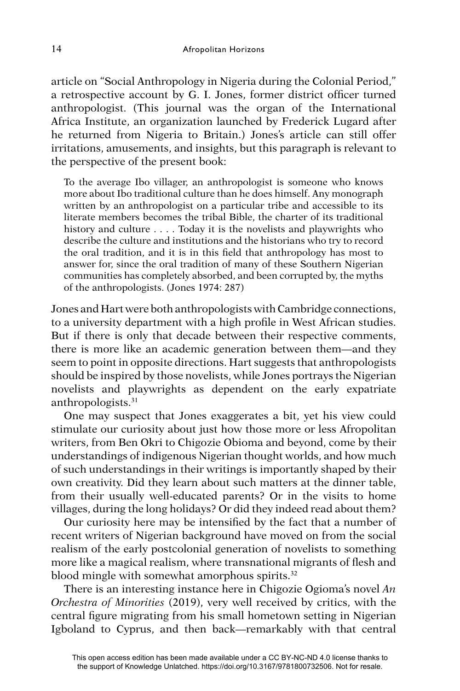article on "Social Anthropology in Nigeria during the Colonial Period," a retrospective account by G. I. Jones, former district officer turned anthropologist. (This journal was the organ of the International Africa Institute, an organization launched by Frederick Lugard after he returned from Nigeria to Britain.) Jones's article can still offer irritations, amusements, and insights, but this paragraph is relevant to the perspective of the present book:

To the average Ibo villager, an anthropologist is someone who knows more about Ibo traditional culture than he does himself. Any monograph written by an anthropologist on a particular tribe and accessible to its literate members becomes the tribal Bible, the charter of its traditional history and culture . . . . Today it is the novelists and playwrights who describe the culture and institutions and the historians who try to record the oral tradition, and it is in this field that anthropology has most to answer for, since the oral tradition of many of these Southern Nigerian communities has completely absorbed, and been corrupted by, the myths of the anthropologists. (Jones 1974: 287)

Jones and Hart were both anthropologists with Cambridge connections, to a university department with a high profile in West African studies. But if there is only that decade between their respective comments, there is more like an academic generation between them—and they seem to point in opposite directions. Hart suggests that anthropologists should be inspired by those novelists, while Jones portrays the Nigerian novelists and playwrights as dependent on the early expatriate anthropologists.31

One may suspect that Jones exaggerates a bit, yet his view could stimulate our curiosity about just how those more or less Afropolitan writers, from Ben Okri to Chigozie Obioma and beyond, come by their understandings of indigenous Nigerian thought worlds, and how much of such understandings in their writings is importantly shaped by their own creativity. Did they learn about such matters at the dinner table, from their usually well-educated parents? Or in the visits to home villages, during the long holidays? Or did they indeed read about them?

Our curiosity here may be intensified by the fact that a number of recent writers of Nigerian background have moved on from the social realism of the early postcolonial generation of novelists to something more like a magical realism, where transnational migrants of flesh and blood mingle with somewhat amorphous spirits.<sup>32</sup>

There is an interesting instance here in Chigozie Ogioma's novel *An Orchestra of Minorities* (2019), very well received by critics, with the central figure migrating from his small hometown setting in Nigerian Igboland to Cyprus, and then back—remarkably with that central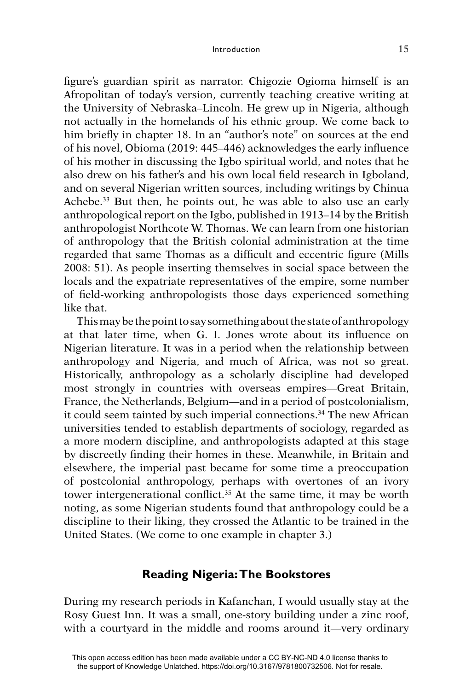figure's guardian spirit as narrator. Chigozie Ogioma himself is an Afropolitan of today's version, currently teaching creative writing at the University of Nebraska–Lincoln. He grew up in Nigeria, although not actually in the homelands of his ethnic group. We come back to him briefly in chapter 18. In an "author's note" on sources at the end of his novel, Obioma (2019: 445–446) acknowledges the early influence of his mother in discussing the Igbo spiritual world, and notes that he also drew on his father's and his own local field research in Igboland, and on several Nigerian written sources, including writings by Chinua Achebe.<sup>33</sup> But then, he points out, he was able to also use an early anthropological report on the Igbo, published in 1913–14 by the British anthropologist Northcote W. Thomas. We can learn from one historian of anthropology that the British colonial administration at the time regarded that same Thomas as a difficult and eccentric figure (Mills) 2008: 51). As people inserting themselves in social space between the locals and the expatriate representatives of the empire, some number of field-working anthropologists those days experienced something like that.

This may be the point to say something about the state of anthropology at that later time, when G. I. Jones wrote about its influence on Nigerian literature. It was in a period when the relationship between anthropology and Nigeria, and much of Africa, was not so great. Historically, anthropology as a scholarly discipline had developed most strongly in countries with overseas empires—Great Britain, France, the Netherlands, Belgium—and in a period of postcolonialism, it could seem tainted by such imperial connections.<sup>34</sup> The new African universities tended to establish departments of sociology, regarded as a more modern discipline, and anthropologists adapted at this stage by discreetly finding their homes in these. Meanwhile, in Britain and elsewhere, the imperial past became for some time a preoccupation of postcolonial anthropology, perhaps with overtones of an ivory tower intergenerational conflict.<sup>35</sup> At the same time, it may be worth noting, as some Nigerian students found that anthropology could be a discipline to their liking, they crossed the Atlantic to be trained in the United States. (We come to one example in chapter 3.)

### **Reading Nigeria: The Bookstores**

During my research periods in Kafanchan, I would usually stay at the Rosy Guest Inn. It was a small, one-story building under a zinc roof, with a courtyard in the middle and rooms around it—very ordinary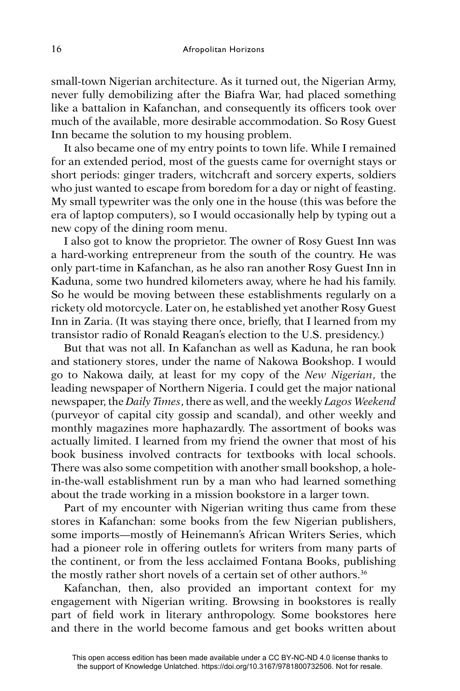small-town Nigerian architecture. As it turned out, the Nigerian Army, never fully demobilizing after the Biafra War, had placed something like a battalion in Kafanchan, and consequently its officers took over much of the available, more desirable accommodation. So Rosy Guest Inn became the solution to my housing problem.

It also became one of my entry points to town life. While I remained for an extended period, most of the guests came for overnight stays or short periods: ginger traders, witchcraft and sorcery experts, soldiers who just wanted to escape from boredom for a day or night of feasting. My small typewriter was the only one in the house (this was before the era of laptop computers), so I would occasionally help by typing out a new copy of the dining room menu.

I also got to know the proprietor. The owner of Rosy Guest Inn was a hard-working entrepreneur from the south of the country. He was only part-time in Kafanchan, as he also ran another Rosy Guest Inn in Kaduna, some two hundred kilometers away, where he had his family. So he would be moving between these establishments regularly on a rickety old motorcycle. Later on, he established yet another Rosy Guest Inn in Zaria. (It was staying there once, briefly, that I learned from my transistor radio of Ronald Reagan's election to the U.S. presidency.)

But that was not all. In Kafanchan as well as Kaduna, he ran book and stationery stores, under the name of Nakowa Bookshop. I would go to Nakowa daily, at least for my copy of the *New Nigerian*, the leading newspaper of Northern Nigeria. I could get the major national newspaper, the *Daily Times*, there as well, and the weekly *Lagos Weekend*  (purveyor of capital city gossip and scandal), and other weekly and monthly magazines more haphazardly. The assortment of books was actually limited. I learned from my friend the owner that most of his book business involved contracts for textbooks with local schools. There was also some competition with another small bookshop, a holein-the-wall establishment run by a man who had learned something about the trade working in a mission bookstore in a larger town.

Part of my encounter with Nigerian writing thus came from these stores in Kafanchan: some books from the few Nigerian publishers, some imports—mostly of Heinemann's African Writers Series, which had a pioneer role in offering outlets for writers from many parts of the continent, or from the less acclaimed Fontana Books, publishing the mostly rather short novels of a certain set of other authors.<sup>36</sup>

Kafanchan, then, also provided an important context for my engagement with Nigerian writing. Browsing in bookstores is really part of field work in literary anthropology. Some bookstores here and there in the world become famous and get books written about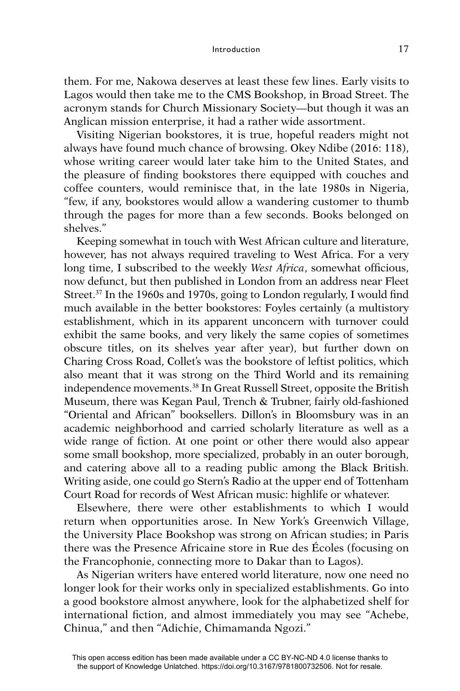### **Introduction** is a set of  $\overline{17}$

them. For me, Nakowa deserves at least these few lines. Early visits to Lagos would then take me to the CMS Bookshop, in Broad Street. The acronym stands for Church Missionary Society—but though it was an Anglican mission enterprise, it had a rather wide assortment.

Visiting Nigerian bookstores, it is true, hopeful readers might not always have found much chance of browsing. Okey Ndibe (2016: 118), whose writing career would later take him to the United States, and the pleasure of finding bookstores there equipped with couches and coffee counters, would reminisce that, in the late 1980s in Nigeria, "few, if any, bookstores would allow a wandering customer to thumb through the pages for more than a few seconds. Books belonged on shelves."

Keeping somewhat in touch with West African culture and literature, however, has not always required traveling to West Africa. For a very long time, I subscribed to the weekly *West Africa*, somewhat officious, now defunct, but then published in London from an address near Fleet Street.<sup>37</sup> In the 1960s and 1970s, going to London regularly, I would find much available in the better bookstores: Foyles certainly (a multistory establishment, which in its apparent unconcern with turnover could exhibit the same books, and very likely the same copies of sometimes obscure titles, on its shelves year after year), but further down on Charing Cross Road, Collet's was the bookstore of leftist politics, which also meant that it was strong on the Third World and its remaining independence movements.38 In Great Russell Street, opposite the British Museum, there was Kegan Paul, Trench & Trubner, fairly old-fashioned "Oriental and African" booksellers. Dillon's in Bloomsbury was in an academic neighborhood and carried scholarly literature as well as a wide range of fiction. At one point or other there would also appear some small bookshop, more specialized, probably in an outer borough, and catering above all to a reading public among the Black British. Writing aside, one could go Stern's Radio at the upper end of Tottenham Court Road for records of West African music: highlife or whatever.

Elsewhere, there were other establishments to which I would return when opportunities arose. In New York's Greenwich Village, the University Place Bookshop was strong on African studies; in Paris there was the Presence Africaine store in Rue des Écoles (focusing on the Francophonie, connecting more to Dakar than to Lagos).

As Nigerian writers have entered world literature, now one need no longer look for their works only in specialized establishments. Go into a good bookstore almost anywhere, look for the alphabetized shelf for international fiction, and almost immediately you may see "Achebe, Chinua," and then "Adichie, Chimamanda Ngozi."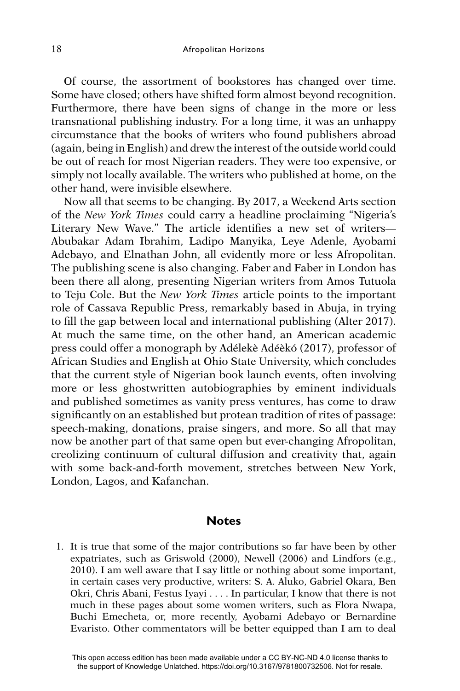Of course, the assortment of bookstores has changed over time. Some have closed; others have shifted form almost beyond recognition. Furthermore, there have been signs of change in the more or less transnational publishing industry. For a long time, it was an unhappy circumstance that the books of writers who found publishers abroad (again, being in English) and drew the interest of the outside world could be out of reach for most Nigerian readers. They were too expensive, or simply not locally available. The writers who published at home, on the other hand, were invisible elsewhere.

Now all that seems to be changing. By 2017, a Weekend Arts section of the *New York Times* could carry a headline proclaiming "Nigeria's Literary New Wave." The article identifies a new set of writers-Abubakar Adam Ibrahim, Ladipo Manyika, Leye Adenle, Ayobami Adebayo, and Elnathan John, all evidently more or less Afropolitan. The publishing scene is also changing. Faber and Faber in London has been there all along, presenting Nigerian writers from Amos Tutuola to Teju Cole. But the *New York Times* article points to the important role of Cassava Republic Press, remarkably based in Abuja, in trying to fill the gap between local and international publishing (Alter 2017). At much the same time, on the other hand, an American academic press could offer a monograph by Adélekè Adéèkó (2017), professor of African Studies and English at Ohio State University, which concludes that the current style of Nigerian book launch events, often involving more or less ghostwritten autobiographies by eminent individuals and published sometimes as vanity press ventures, has come to draw significantly on an established but protean tradition of rites of passage: speech-making, donations, praise singers, and more. So all that may now be another part of that same open but ever-changing Afropolitan, creolizing continuum of cultural diffusion and creativity that, again with some back-and-forth movement, stretches between New York, London, Lagos, and Kafanchan.

### **Notes**

 1. It is true that some of the major contributions so far have been by other expatriates, such as Griswold (2000), Newell (2006) and Lindfors (e.g., 2010). I am well aware that I say little or nothing about some important, in certain cases very productive, writers: S. A. Aluko, Gabriel Okara, Ben Okri, Chris Abani, Festus Iyayi . . . . In particular, I know that there is not much in these pages about some women writers, such as Flora Nwapa, Buchi Emecheta, or, more recently, Ayobami Adebayo or Bernardine Evaristo. Other commentators will be better equipped than I am to deal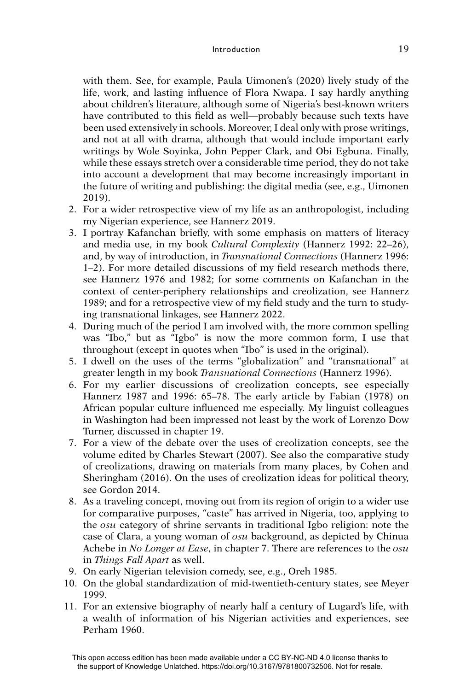### Introduction 19

with them. See, for example, Paula Uimonen's (2020) lively study of the life, work, and lasting influence of Flora Nwapa. I say hardly anything about children's literature, although some of Nigeria's best-known writers have contributed to this field as well—probably because such texts have been used extensively in schools. Moreover, I deal only with prose writings, and not at all with drama, although that would include important early writings by Wole Soyinka, John Pepper Clark, and Obi Egbuna. Finally, while these essays stretch over a considerable time period, they do not take into account a development that may become increasingly important in the future of writing and publishing: the digital media (see, e.g., Uimonen 2019).

- 2. For a wider retrospective view of my life as an anthropologist, including my Nigerian experience, see Hannerz 2019.
- 3. I portray Kafanchan briefly, with some emphasis on matters of literacy and media use, in my book *Cultural Complexity* (Hannerz 1992: 22–26), and, by way of introduction, in *Transnational Connections* (Hannerz 1996: 1–2). For more detailed discussions of my field research methods there, see Hannerz 1976 and 1982; for some comments on Kafanchan in the context of center-periphery relationships and creolization, see Hannerz 1989; and for a retrospective view of my field study and the turn to studying transnational linkages, see Hannerz 2022.
- 4. During much of the period I am involved with, the more common spelling was "Ibo," but as "Igbo" is now the more common form, I use that throughout (except in quotes when "Ibo" is used in the original).
- 5. I dwell on the uses of the terms "globalization" and "transnational" at greater length in my book *Transnational Connections* (Hannerz 1996).
- 6. For my earlier discussions of creolization concepts, see especially Hannerz 1987 and 1996: 65–78. The early article by Fabian (1978) on African popular culture influenced me especially. My linguist colleagues in Washington had been impressed not least by the work of Lorenzo Dow Turner, discussed in chapter 19.
- 7. For a view of the debate over the uses of creolization concepts, see the volume edited by Charles Stewart (2007). See also the comparative study of creolizations, drawing on materials from many places, by Cohen and Sheringham (2016). On the uses of creolization ideas for political theory, see Gordon 2014.
- 8. As a traveling concept, moving out from its region of origin to a wider use for comparative purposes, "caste" has arrived in Nigeria, too, applying to the *osu* category of shrine servants in traditional Igbo religion: note the case of Clara, a young woman of *osu* background, as depicted by Chinua Achebe in *No Longer at Ease*, in chapter 7. There are references to the *osu*  in *Things Fall Apart* as well.
- 9. On early Nigerian television comedy, see, e.g., Oreh 1985.
- 10. On the global standardization of mid-twentieth-century states, see Meyer 1999.
- 11. For an extensive biography of nearly half a century of Lugard's life, with a wealth of information of his Nigerian activities and experiences, see Perham 1960.

This open access edition has been made available under a CC BY-NC-ND 4.0 license thanks to the support of Knowledge Unlatched. https://doi.org/10.3167/9781800732506. Not for resale.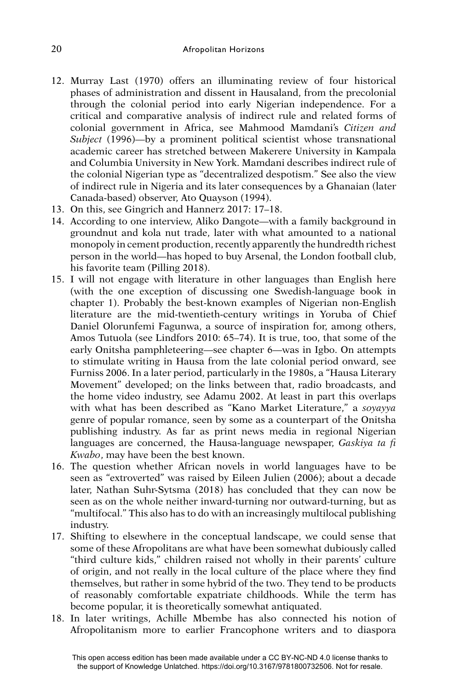- 12. Murray Last (1970) offers an illuminating review of four historical phases of administration and dissent in Hausaland, from the precolonial through the colonial period into early Nigerian independence. For a critical and comparative analysis of indirect rule and related forms of colonial government in Africa, see Mahmood Mamdani's *Citizen and Subject* (1996)—by a prominent political scientist whose transnational academic career has stretched between Makerere University in Kampala and Columbia University in New York. Mamdani describes indirect rule of the colonial Nigerian type as "decentralized despotism." See also the view of indirect rule in Nigeria and its later consequences by a Ghanaian (later Canada-based) observer, Ato Quayson (1994).
- 13. On this, see Gingrich and Hannerz 2017: 17–18.
- 14. According to one interview, Aliko Dangote—with a family background in groundnut and kola nut trade, later with what amounted to a national monopoly in cement production, recently apparently the hundredth richest person in the world—has hoped to buy Arsenal, the London football club, his favorite team (Pilling 2018).
- 15. I will not engage with literature in other languages than English here (with the one exception of discussing one Swedish-language book in chapter 1). Probably the best-known examples of Nigerian non-English literature are the mid-twentieth-century writings in Yoruba of Chief Daniel Olorunfemi Fagunwa, a source of inspiration for, among others, Amos Tutuola (see Lindfors 2010: 65–74). It is true, too, that some of the early Onitsha pamphleteering—see chapter 6—was in Igbo. On attempts to stimulate writing in Hausa from the late colonial period onward, see Furniss 2006. In a later period, particularly in the 1980s, a "Hausa Literary Movement" developed; on the links between that, radio broadcasts, and the home video industry, see Adamu 2002. At least in part this overlaps with what has been described as "Kano Market Literature," a *soyayya* genre of popular romance, seen by some as a counterpart of the Onitsha publishing industry. As far as print news media in regional Nigerian languages are concerned, the Hausa-language newspaper, *Gaskiya ta fi Kwabo*, may have been the best known.
- 16. The question whether African novels in world languages have to be seen as "extroverted" was raised by Eileen Julien (2006); about a decade later, Nathan Suhr-Sytsma (2018) has concluded that they can now be seen as on the whole neither inward-turning nor outward-turning, but as "multifocal." This also has to do with an increasingly multilocal publishing industry.
- 17. Shifting to elsewhere in the conceptual landscape, we could sense that some of these Afropolitans are what have been somewhat dubiously called "third culture kids," children raised not wholly in their parents' culture of origin, and not really in the local culture of the place where they find themselves, but rather in some hybrid of the two. They tend to be products of reasonably comfortable expatriate childhoods. While the term has become popular, it is theoretically somewhat antiquated.
- 18. In later writings, Achille Mbembe has also connected his notion of Afropolitanism more to earlier Francophone writers and to diaspora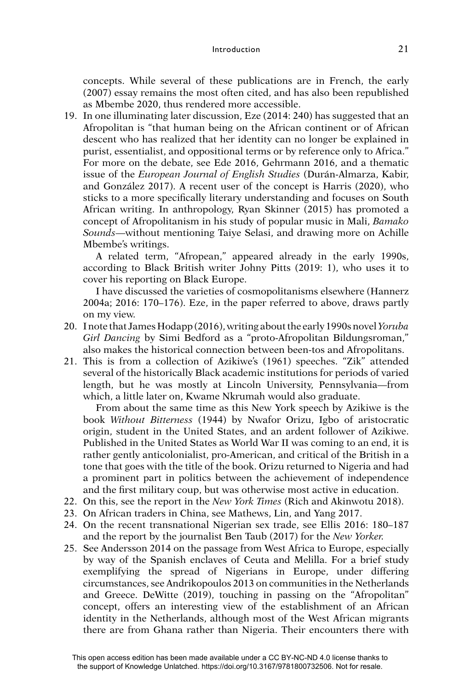### Introduction 21

concepts. While several of these publications are in French, the early (2007) essay remains the most often cited, and has also been republished as Mbembe 2020, thus rendered more accessible.

19. In one illuminating later discussion, Eze (2014: 240) has suggested that an Afropolitan is "that human being on the African continent or of African descent who has realized that her identity can no longer be explained in purist, essentialist, and oppositional terms or by reference only to Africa." For more on the debate, see Ede 2016, Gehrmann 2016, and a thematic issue of the *European Journal of English Studies* (Durán-Almarza, Kabir, and González 2017). A recent user of the concept is Harris (2020), who sticks to a more specifically literary understanding and focuses on South African writing. In anthropology, Ryan Skinner (2015) has promoted a concept of Afropolitanism in his study of popular music in Mali, *Bamako Sounds*—without mentioning Taiye Selasi, and drawing more on Achille Mbembe's writings.

A related term, "Afropean," appeared already in the early 1990s, according to Black British writer Johny Pitts (2019: 1), who uses it to cover his reporting on Black Europe.

I have discussed the varieties of cosmopolitanisms elsewhere (Hannerz 2004a; 2016: 170–176). Eze, in the paper referred to above, draws partly on my view.

- 20. I note that James Hodapp (2016), writing about the early 1990s novel *Yoruba Girl Dancing* by Simi Bedford as a "proto-Afropolitan Bildungsroman," also makes the historical connection between been-tos and Afropolitans.
- 21. This is from a collection of Azikiwe's (1961) speeches. "Zik" attended several of the historically Black academic institutions for periods of varied length, but he was mostly at Lincoln University, Pennsylvania—from which, a little later on, Kwame Nkrumah would also graduate.

From about the same time as this New York speech by Azikiwe is the book *Wi thout Bitterness* (1944) by Nwafor Orizu, Igbo of aristocratic origin, student in the United States, and an ardent follower of Azikiwe. Published in the United States as World War II was coming to an end, it is rather gently anticolonialist, pro-American, and critical of the British in a tone that goes with the title of the book. Orizu returned to Nigeria and had a prominent part in politics between the achievement of independence and the first military coup, but was otherwise most active in education.

- 22. On this, see the report in the *New York Times* (Rich and Akinwotu 2018).
- 23. On African traders in China, see Mathews, Lin, and Yang 2017.
- 24. On the recent transnational Nigerian sex trade, see Ellis 2016: 180–187 and the report by the journalist Ben Taub (2017) for the *New Yorker.*
- 25. See Andersson 2014 on the passage from West Africa to Europe, especially by way of the Spanish enclaves of Ceuta and Melilla. For a brief study exemplifying the spread of Nigerians in Europe, under differing circumstances, see Andrikopoulos 2013 on communities in the Netherlands and Greece. DeWitte (2019), touching in passing on the "Afropolitan" concept, offers an interesting view of the establishment of an African identity in the Netherlands, although most of the West African migrants there are from Ghana rather than Nigeria. Their encounters there with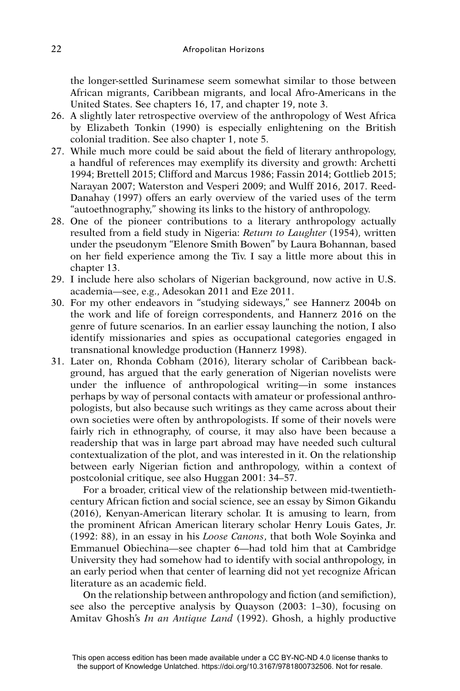the longer-settled Surinamese seem somewhat similar to those between African migrants, Caribbean migrants, and local Afro-Americans in the United States. See chapters 16, 17, and chapter 19, note 3.

- 26. A slightly later retrospective overview of the anthropology of West Africa by Elizabeth Tonkin (1990) is especially enlightening on the British colonial tradition. See also chapter 1, note 5.
- 27. While much more could be said about the field of literary anthropology, a handful of references may exemplify its diversity and growth: Archetti 1994; Brettell 2015; Clifford and Marcus 1986; Fassin 2014; Gottlieb 2015; Narayan 2007; Waterston and Vesperi 2009; and Wulff 2016, 2017. Reed-Danahay (1997) offers an early overview of the varied uses of the term "autoethnography," showing its links to the history of anthropology.
- 28. One of the pioneer contributions to a literary anthropology actually resulted from a field study in Nigeria: *Return to Laughter* (1954), written under the pseudonym "Elenore Smith Bowen" by Laura Bohannan, based on her field experience among the Tiv. I say a little more about this in chapter 13.
- 29. I include here also scholars of Nigerian background, now active in U.S. academia—see, e.g., Adesokan 2011 and Eze 2011.
- 30. For my other endeavors in "studying sideways," see Hannerz 2004b on the work and life of foreign correspondents, and Hannerz 2016 on the genre of future scenarios. In an earlier essay launching the notion, I also identify missionaries and spies as occupational categories engaged in transnational knowledge production (Hannerz 1998).
- 31. Later on, Rhonda Cobham (2016), literary scholar of Caribbean background, has argued that the early generation of Nigerian novelists were under the influence of anthropological writing—in some instances perhaps by way of personal contacts with amateur or professional anthropologists, but also because such writings as they came across about their own societies were often by anthropologists. If some of their novels were fairly rich in ethnography, of course, it may also have been because a readership that was in large part abroad may have needed such cultural contextualization of the plot, and was interested in it. On the relationship between early Nigerian fiction and anthropology, within a context of postcolonial critique, see also Huggan 2001: 34–57.

For a broader, critical view of the relationship between mid-twentiethcentury African fiction and social science, see an essay by Simon Gikandu (2016), Kenyan-American literary scholar. It is amusing to learn, from the prominent African American literary scholar Henry Louis Gates, Jr. (1992: 88), in an essay in his *Loose Canons*, that both Wole Soyinka and Emmanuel Obiechina—see chapter 6—had told him that at Cambridge University they had somehow had to identify with social anthropology, in an early period when that center of learning did not yet recognize African literature as an academic field.

On the relationship between anthropology and fiction (and semifiction), see also the perceptive analysis by Quayson (2003: 1–30), focusing on Amitav Ghosh's *In an Antique Land* (1992). Ghosh, a highly productive

This open access edition has been made available under a CC BY-NC-ND 4.0 license thanks to the support of Knowledge Unlatched. https://doi.org/10.3167/9781800732506. Not for resale.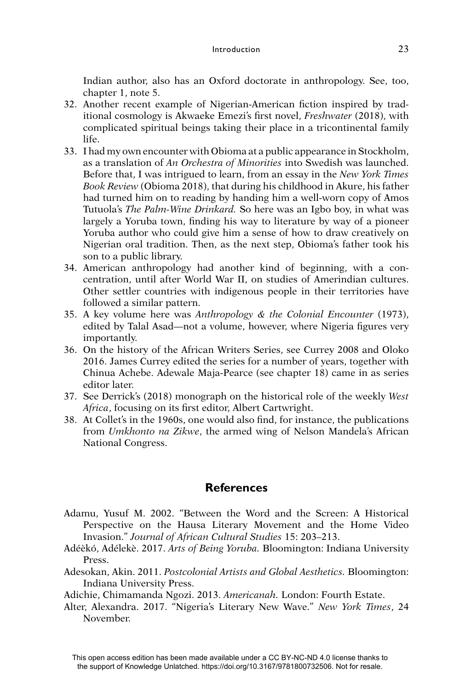Indian author, also has an Oxford doctorate in anthropology. See, too, chapter 1, note 5.

- 32. Another recent example of Nigerian-American fiction inspired by traditional cosmology is Akwaeke Emezi's first novel, *Freshwater* (2018), with complicated spiritual beings taking their place in a tricontinental family life.
- 33. I had my own encounter with Obioma at a public appearance in Stockholm, as a translation of *An Orchestra of Minorities* into Swedish was launched. Before that, I was intrigued to learn, from an essay in the *New York Times Book Review* (Obioma 2018), that during his childhood in Akure, his father had turned him on to reading by handing him a well-worn copy of Amos Tutuola's *The Palm-Wine Drinkard.* So here was an Igbo boy, in what was largely a Yoruba town, finding his way to literature by way of a pioneer Yoruba author who could give him a sense of how to draw creatively on Nigerian oral tradition. Then, as the next step, Obioma's father took his son to a public library.
- 34. American anthropology had another kind of beginning, with a concentration, until after World War II, on studies of Amerindian cultures. Other settler countries with indigenous people in their territories have followed a similar pattern.
- 35. A key volume here was *Anthropology & the Colonial Encounter* (1973), edited by Talal Asad—not a volume, however, where Nigeria figures very importantly.
- 36. On the history of the African Writers Series, see Currey 2008 and Oloko 2016. James Currey edited the series for a number of years, together with Chinua Achebe. Adewale Maja-Pearce (see chapter 18) came in as series editor later.
- 37. See Derrick's (2018) monograph on the historical role of the weekly *West*  Africa, focusing on its first editor, Albert Cartwright.
- 38. At Collet's in the 1960s, one would also find, for instance, the publications from *Umkhonto na Zikwe*, the armed wing of Nelson Mandela's African National Congress.

## **References**

- Adamu, Yusuf M. 2002. "Between the Word and the Screen: A Historical Perspective on the Hausa Literary Movement and the Home Video Invasion." *Journal of African Cultural Studies* 15: 203–213.
- Adéèkó, Adélekè. 2017. *Arts of Being Yoruba.* Bloomington: Indiana University Press.
- Adesokan, Akin. 2011. *Postcolonial Artists and Global Aesthetics.* Bloomington: Indiana University Press.
- Adichie, Chimamanda Ngozi. 2013. *Americanah.* London: Fourth Estate.
- Alter, Alexandra. 2017. "Nigeria's Literary New Wave." *New York Times*, 24 November.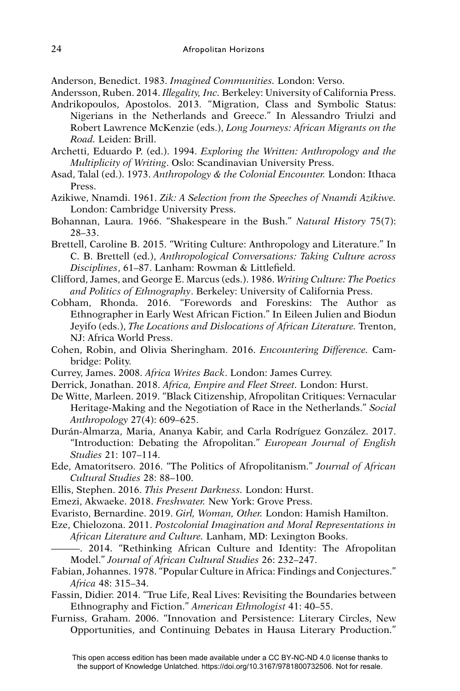Anderson, Benedict. 1983. *Imagined Communities.* London: Verso.

Andersson, Ruben. 2014. *Illegality, Inc.* Berkeley: University of California Press.

- Andrikopoulos, Apostolos. 2013. "Migration, Class and Symbolic Status: Nigerians in the Netherlands and Greece." In Alessandro Triulzi and Robert Lawrence McKenzie (eds.), *Long Journeys: African Migrants on the Road.* Leiden: Brill.
- Archetti, Eduardo P. (ed.). 1994. *Exploring the Written: Anthropology and the Multiplicity of Writing*. Oslo: Scandinavian University Press.
- Asad, Talal (ed.). 1973. *Anthropology & the Colonial Encounter.* London: Ithaca Press.
- Azikiwe, Nnamdi. 1961. *Zik: A Selection from the Speeches of Nnamdi Azikiwe.*  London: Cambridge University Press.
- Bohannan, Laura. 1966. "Shakespeare in the Bush." *Natural History* 75(7): 28–33.
- Brettell, Caroline B. 2015. "Writing Culture: Anthropology and Literature." In C. B. Brettell (ed.), *Anthropological Conversations: Taking Culture across*  Disciplines, 61-87. Lanham: Rowman & Littlefield.
- Clifford, James, and George E. Marcus (eds.). 1986. *Writing Culture: The Poetics and Politics of Ethnography*. Berkeley: University of California Press.
- Cobham, Rhonda. 2016. "Forewords and Foreskins: The Author as Ethnographer in Early West African Fiction." In Eileen Julien and Biodun Jeyifo (eds.), *The Locations and Dislocations of African Literature.* Trenton, NJ: Africa World Press.
- Cohen, Robin, and Olivia Sheringham. 2016. *Encountering Difference.* Cambridge: Polity.
- Currey, James. 2008. *Africa Writes Back*. London: James Currey.
- Derrick, Jonathan. 2018. *Africa, Empire and Fleet Street.* London: Hurst.
- De Witte, Marleen. 2019. "Black Citizenship, Afropolitan Critiques: Vernacular Heritage-Making and the Negotiation of Race in the Netherlands." *Social Anthropology* 27(4): 609–625.
- Durán-Almarza, Maria, Ananya Kabir, and Carla Rodríguez González. 2017. "Introduction: Debating the Afropolitan." *European Journal of English Studies* 21: 107–114.
- Ede, Amatoritsero. 2016. "The Politics of Afropolitanism." *Journal of African Cultural Studies* 28: 88–100.
- Ellis, Stephen. 2016. *This Present Darkness.* London: Hurst.
- Emezi, Akwaeke. 2018. *Freshwater.* New York: Grove Press.
- Evaristo, Bernardine. 2019. *Girl, Woman, Other.* London: Hamish Hamilton.
- Eze, Chielozona. 2011. *Postcolonial Imagination and Moral Representations in African Literature and Culture.* Lanham, MD: Lexington Books.
- ———. 2014. "Rethinking African Culture and Identity: The Afropolitan Model." *Journal of African Cultural Studies* 26: 232–247.
- Fabian, Johannes. 1978. "Popular Culture in Africa: Findings and Conjectures." *Africa* 48: 315–34.
- Fassin, Didier. 2014. "True Life, Real Lives: Revisiting the Boundaries between Ethnography and Fiction." *American Ethnologist* 41: 40–55.
- Furniss, Graham. 2006. "Innovation and Persistence: Literary Circles, New Opportunities, and Continuing Debates in Hausa Literary Production."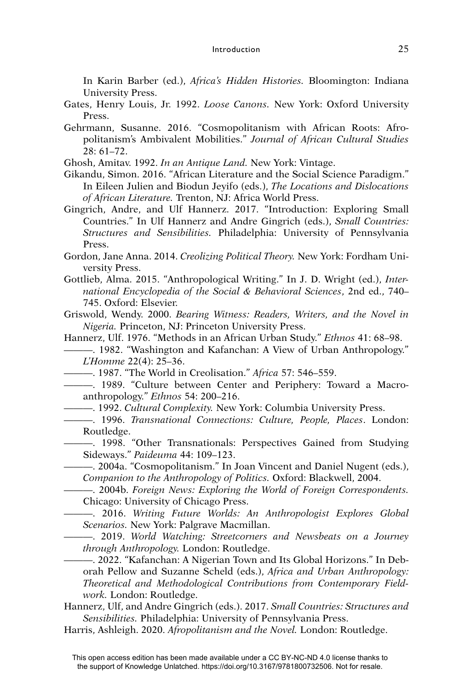In Karin Barber (ed.), *Africa's Hidden Histories.* Bloomington: Indiana University Press.

- Gates, Henry Louis, Jr. 1992. *Loose Canons.* New York: Oxford University Press.
- Gehrmann, Susanne. 2016. "Cosmopolitanism with African Roots: Afropolitanism's Ambivalent Mobilities." *Journal of African Cultural Studies* 28: 61–72.
- Ghosh, Amitav. 1992. *In an Antique Land.* New York: Vintage.
- Gikandu, Simon. 2016. "African Literature and the Social Science Paradigm." In Eileen Julien and Biodun Jeyifo (eds.), *The Locations and Dislocations of African Literature.* Trenton, NJ: Africa World Press.
- Gingrich, Andre, and Ulf Hannerz. 2017. "Introduction: Exploring Small Countries." In Ulf Hannerz and Andre Gingrich (eds.), *Small Countries: Structures and Sensibilities.* Philadelphia: University of Pennsylvania Press.
- Gordon, Jane Anna. 2014. *Creolizing Political Theory.* New York: Fordham University Press.
- Gottlieb, Alma. 2015. "Anthropological Writing." In J. D. Wright (ed.), *International Encyclopedia of the Social & Behavioral Sciences*, 2nd ed., 740– 745. Oxford: Elsevier.
- Griswold, Wendy. 2000. *Bearing Witness: Readers, Writers, and the Novel in Nigeria.* Princeton, NJ: Princeton University Press.
- Hannerz, Ulf. 1976. "Methods in an African Urban Study." *Ethnos* 41: 68–98.
- ———. 1982. "Washington and Kafanchan: A View of Urban Anthropology." *L'Homme* 22(4): 25–36.
- ———. 1987. "The World in Creolisation." *Africa* 57: 546–559.
- ———. 1989. "Culture between Center and Periphery: Toward a Macroanthropology." *Ethnos* 54: 200–216.
- ———. 1992. *Cultural Complexity.* New York: Columbia University Press.
- ———. 1996. *Transnational Connections: Culture, People, Places*. London: Routledge.
	- ———. 1998. "Other Transnationals: Perspectives Gained from Studying Sideways." *Paideuma* 44: 109–123.
	- ———. 2004a. "Cosmopolitanism." In Joan Vincent and Daniel Nugent (eds.), *Companion to the Anthropology of Politics.* Oxford: Blackwell, 2004.
- ———. 2004b. *Foreign News: Exploring the World of Foreign Correspondents.*  Chicago: University of Chicago Press.
	- ———. 2016. *Writing Future Worlds: An Anthropologist Explores Global Scenarios.* New York: Palgrave Macmillan.
	- ———. 2019. *World Watching: Streetcorners and Newsbeats on a Journey through Anthropology.* London: Routledge.
		- ———. 2022. "Kafanchan: A Nigerian Town and Its Global Horizons." In Deborah Pellow and Suzanne Scheld (eds.), *Africa and Urban Anthropology: Theoretical and Methodological Contributions from Contemporary Fieldwork.* London: Routledge.
- Hannerz, Ulf, and Andre Gingrich (eds.). 2017. *Small Countries: Structures and Sensibilities.* Philadelphia: University of Pennsylvania Press.
- Harris, Ashleigh. 2020. *Afropolitanism and the Novel.* London: Routledge.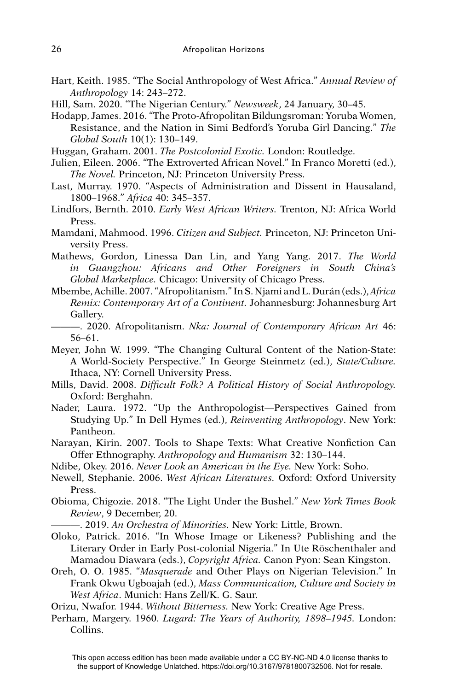- Hart, Keith. 1985. "The Social Anthropology of West Africa." *Annual Review of Anthropology* 14: 243–272.
- Hill, Sam. 2020. "The Nigerian Century." *Newsweek*, 24 January, 30–45.
- Hodapp, James. 2016. "The Proto-Afropolitan Bildungsroman: Yoruba Women, Resistance, and the Nation in Simi Bedford's Yoruba Girl Dancing." *The Global South* 10(1): 130–149.
- Huggan, Graham. 2001. *The Postcolonial Exotic.* London: Routledge.
- Julien, Eileen. 2006. "The Extroverted African Novel." In Franco Moretti (ed.), *The Novel.* Princeton, NJ: Princeton University Press.
- Last, Murray. 1970. "Aspects of Administration and Dissent in Hausaland, 1800–1968." *Africa* 40: 345–357.
- Lindfors, Bernth. 2010. *Early West African Writers.* Trenton, NJ: Africa World Press.
- Mamdani, Mahmood. 1996. *Citizen and Subject.* Princeton, NJ: Princeton University Press.
- Mathews, Gordon, Linessa Dan Lin, and Yang Yang. 2017. *The World in Guangzhou: Africans and Other Foreigners in South China's Global Marketplace.* Chicago: University of Chicago Press.
- Mbembe, Achille. 2007. "Afropolitanism." In S. Njami and L. Durán (eds.), *Africa Remix: Contemporary Art of a Continent.* Johannesburg: Johannesburg Art Gallery.
- ———. 2020. Afropolitanism. *Nka: Journal of Contemporary African Art* 46: 56–61.
- Meyer, John W. 1999. "The Changing Cultural Content of the Nation-State: A World-Society Perspective." In George Steinmetz (ed.), *State/Culture.*  Ithaca, NY: Cornell University Press.
- Mills, David. 2008. *Difficult Folk? A Political History of Social Anthropology*. Oxford: Berghahn.
- Nader, Laura. 1972. "Up the Anthropologist—Perspectives Gained from Studying Up." In Dell Hymes (ed.), *Reinventing Anthropology*. New York: Pantheon.
- Narayan, Kirin. 2007. Tools to Shape Texts: What Creative Nonfiction Can Offer Ethnography. *Anthropology and Humanism* 32: 130–144.
- Ndibe, Okey. 2016. *Never Look an American in the Eye.* New York: Soho.
- Newell, Stephanie. 2006. *West African Literatures.* Oxford: Oxford University Press.
- Obioma, Chigozie. 2018. "The Light Under the Bushel." *New York Times Book Review*, 9 December, 20.

———. 2019. *An Orchestra of Minorities.* New York: Little, Brown.

- Oloko, Patrick. 2016. "In Whose Image or Likeness? Publishing and the Literary Order in Early Post-colonial Nigeria." In Ute Röschenthaler and Mamadou Diawara (eds.), *Copyright Africa.* Canon Pyon: Sean Kingston.
- Oreh, O. O. 1985. "*Masquerade* and Other Plays on Nigerian Television." In Frank Okwu Ugboajah (ed.), *Mass Communication, Culture and Society in West Africa*. Munich: Hans Zell/K. G. Saur.
- Orizu, Nwafor. 1944. *Without Bitterness.* New York: Creative Age Press.
- Perham, Margery. 1960. *Lugard: The Years of Authority, 1898–1945.* London: Collins.